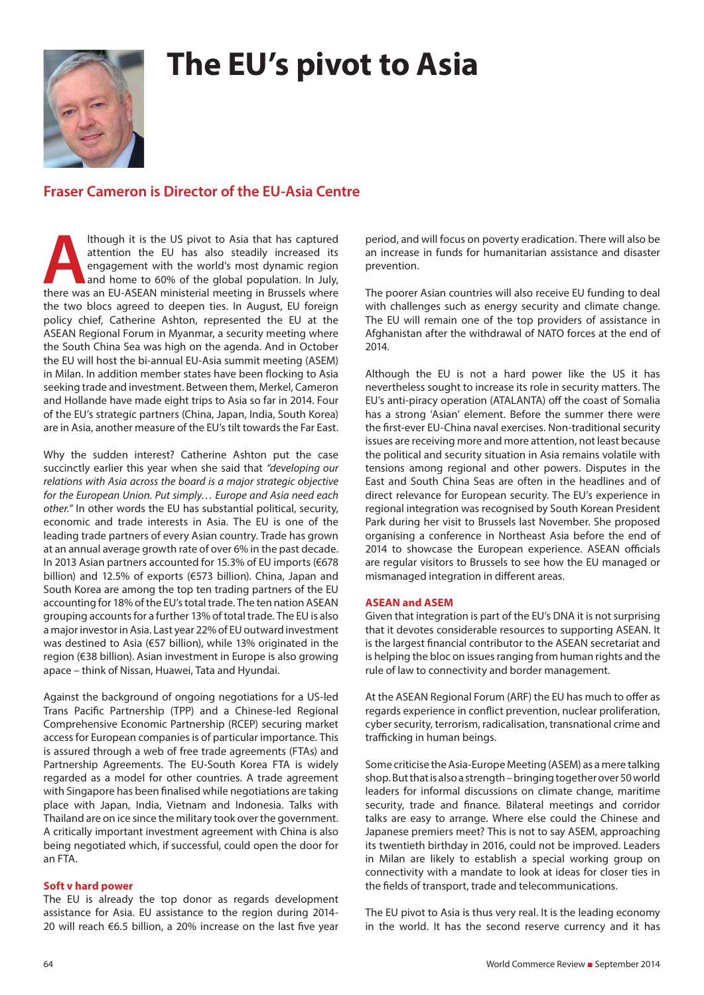# **The EU's pivot to Asia**



## **Fraser Cameron is Director of the EU-Asia Centre**

**Although it is the US pivot to Asia that has captured** attention the EU has also steadily increased its engagement with the world's most dynamic region and home to 60% of the global population. In July, there was an EU-AS attention the EU has also steadily increased its engagement with the world's most dynamic region and home to 60% of the global population. In July, the two blocs agreed to deepen ties. In August, EU foreign policy chief, Catherine Ashton, represented the EU at the ASEAN Regional Forum in Myanmar, a security meeting where the South China Sea was high on the agenda. And in October the EU will host the bi-annual EU-Asia summit meeting (ASEM) in Milan. In addition member states have been flocking to Asia seeking trade and investment. Between them, Merkel, Cameron and Hollande have made eight trips to Asia so far in 2014. Four of the EU's strategic partners (China, Japan, India, South Korea) are in Asia, another measure of the EU's tilt towards the Far East.

Why the sudden interest? Catherine Ashton put the case succinctly earlier this year when she said that *"developing our relations with Asia across the board is a major strategic objective for the European Union. Put simply… Europe and Asia need each other."* In other words the EU has substantial political, security, economic and trade interests in Asia. The EU is one of the leading trade partners of every Asian country. Trade has grown at an annual average growth rate of over 6% in the past decade. In 2013 Asian partners accounted for 15.3% of EU imports (€678 billion) and 12.5% of exports (€573 billion). China, Japan and South Korea are among the top ten trading partners of the EU accounting for 18% of the EU's total trade. The ten nation ASEAN grouping accounts for a further 13% of total trade. The EU is also a major investor in Asia. Last year 22% of EU outward investment was destined to Asia (€57 billion), while 13% originated in the region (€38 billion). Asian investment in Europe is also growing apace – think of Nissan, Huawei, Tata and Hyundai.

Against the background of ongoing negotiations for a US-led Trans Pacific Partnership (TPP) and a Chinese-led Regional Comprehensive Economic Partnership (RCEP) securing market access for European companies is of particular importance. This is assured through a web of free trade agreements (FTAs) and Partnership Agreements. The EU-South Korea FTA is widely regarded as a model for other countries. A trade agreement with Singapore has been finalised while negotiations are taking place with Japan, India, Vietnam and Indonesia. Talks with Thailand are on ice since the military took over the government. A critically important investment agreement with China is also being negotiated which, if successful, could open the door for an FTA.

### **Soft v hard power**

The EU is already the top donor as regards development assistance for Asia. EU assistance to the region during 2014- 20 will reach €6.5 billion, a 20% increase on the last five year period, and will focus on poverty eradication. There will also be an increase in funds for humanitarian assistance and disaster prevention.

The poorer Asian countries will also receive EU funding to deal with challenges such as energy security and climate change. The EU will remain one of the top providers of assistance in Afghanistan after the withdrawal of NATO forces at the end of 2014.

Although the EU is not a hard power like the US it has nevertheless sought to increase its role in security matters. The EU's anti-piracy operation (ATALANTA) off the coast of Somalia has a strong 'Asian' element. Before the summer there were the first-ever EU-China naval exercises. Non-traditional security issues are receiving more and more attention, not least because the political and security situation in Asia remains volatile with tensions among regional and other powers. Disputes in the East and South China Seas are often in the headlines and of direct relevance for European security. The EU's experience in regional integration was recognised by South Korean President Park during her visit to Brussels last November. She proposed organising a conference in Northeast Asia before the end of 2014 to showcase the European experience. ASEAN officials are regular visitors to Brussels to see how the EU managed or mismanaged integration in different areas.

### **ASEAN and ASEM**

Given that integration is part of the EU's DNA it is not surprising that it devotes considerable resources to supporting ASEAN. It is the largest financial contributor to the ASEAN secretariat and is helping the bloc on issues ranging from human rights and the rule of law to connectivity and border management.

At the ASEAN Regional Forum (ARF) the EU has much to offer as regards experience in conflict prevention, nuclear proliferation, cyber security, terrorism, radicalisation, transnational crime and trafficking in human beings.

Some criticise the Asia-Europe Meeting (ASEM) as a mere talking shop. But that is also a strength – bringing together over 50 world leaders for informal discussions on climate change, maritime security, trade and finance. Bilateral meetings and corridor talks are easy to arrange. Where else could the Chinese and Japanese premiers meet? This is not to say ASEM, approaching its twentieth birthday in 2016, could not be improved. Leaders in Milan are likely to establish a special working group on connectivity with a mandate to look at ideas for closer ties in the fields of transport, trade and telecommunications.

The EU pivot to Asia is thus very real. It is the leading economy in the world. It has the second reserve currency and it has